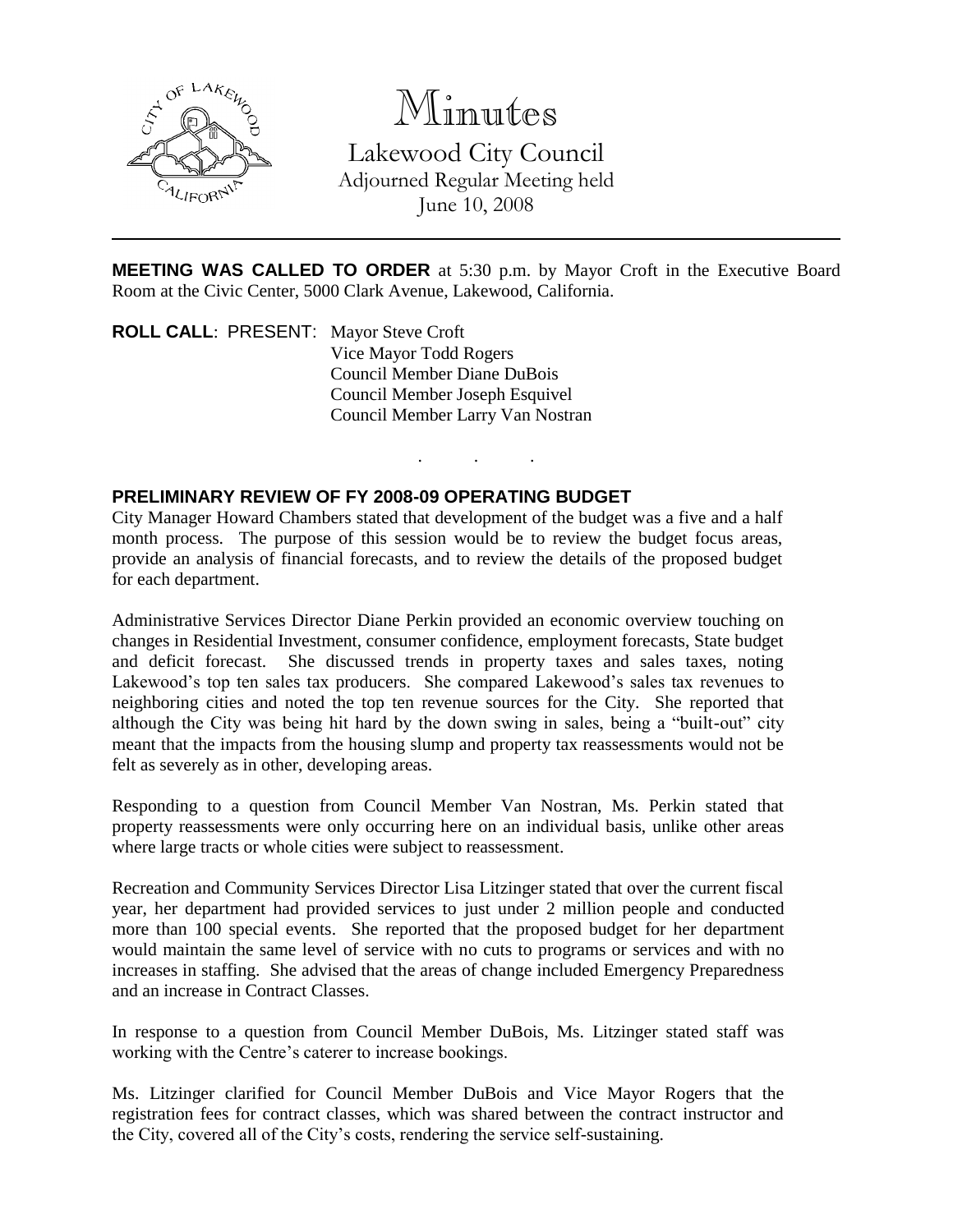

# Minutes

Lakewood City Council Adjourned Regular Meeting held June 10, 2008

**MEETING WAS CALLED TO ORDER** at 5:30 p.m. by Mayor Croft in the Executive Board Room at the Civic Center, 5000 Clark Avenue, Lakewood, California.

. . .

**ROLL CALL**: PRESENT: Mayor Steve Croft Vice Mayor Todd Rogers Council Member Diane DuBois Council Member Joseph Esquivel Council Member Larry Van Nostran

## **PRELIMINARY REVIEW OF FY 2008-09 OPERATING BUDGET**

City Manager Howard Chambers stated that development of the budget was a five and a half month process. The purpose of this session would be to review the budget focus areas, provide an analysis of financial forecasts, and to review the details of the proposed budget for each department.

Administrative Services Director Diane Perkin provided an economic overview touching on changes in Residential Investment, consumer confidence, employment forecasts, State budget and deficit forecast. She discussed trends in property taxes and sales taxes, noting Lakewood's top ten sales tax producers. She compared Lakewood's sales tax revenues to neighboring cities and noted the top ten revenue sources for the City. She reported that although the City was being hit hard by the down swing in sales, being a "built-out" city meant that the impacts from the housing slump and property tax reassessments would not be felt as severely as in other, developing areas.

Responding to a question from Council Member Van Nostran, Ms. Perkin stated that property reassessments were only occurring here on an individual basis, unlike other areas where large tracts or whole cities were subject to reassessment.

Recreation and Community Services Director Lisa Litzinger stated that over the current fiscal year, her department had provided services to just under 2 million people and conducted more than 100 special events. She reported that the proposed budget for her department would maintain the same level of service with no cuts to programs or services and with no increases in staffing. She advised that the areas of change included Emergency Preparedness and an increase in Contract Classes.

In response to a question from Council Member DuBois, Ms. Litzinger stated staff was working with the Centre's caterer to increase bookings.

Ms. Litzinger clarified for Council Member DuBois and Vice Mayor Rogers that the registration fees for contract classes, which was shared between the contract instructor and the City, covered all of the City's costs, rendering the service self-sustaining.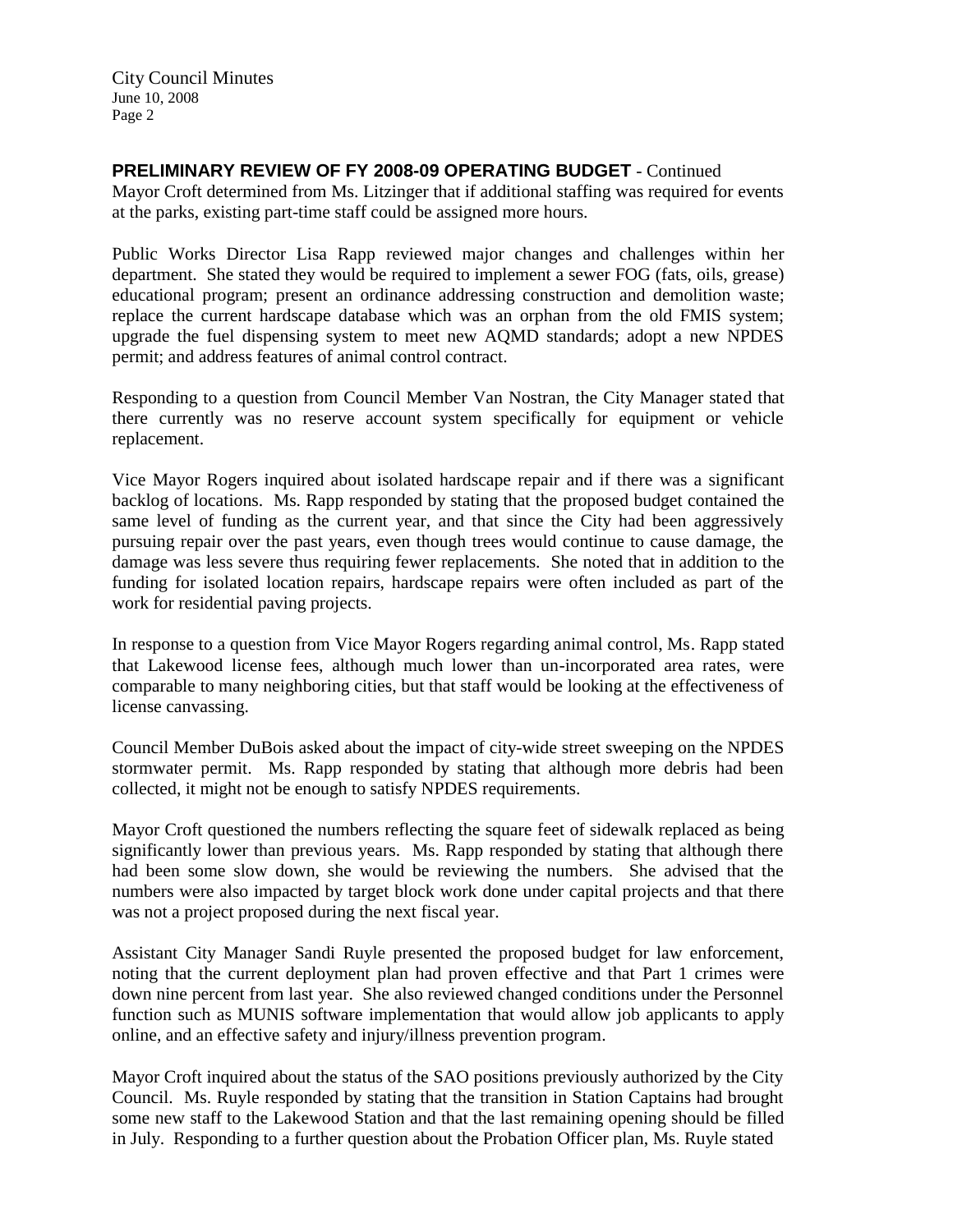City Council Minutes June 10, 2008 Page 2

## **PRELIMINARY REVIEW OF FY 2008-09 OPERATING BUDGET** - Continued

Mayor Croft determined from Ms. Litzinger that if additional staffing was required for events at the parks, existing part-time staff could be assigned more hours.

Public Works Director Lisa Rapp reviewed major changes and challenges within her department. She stated they would be required to implement a sewer FOG (fats, oils, grease) educational program; present an ordinance addressing construction and demolition waste; replace the current hardscape database which was an orphan from the old FMIS system; upgrade the fuel dispensing system to meet new AQMD standards; adopt a new NPDES permit; and address features of animal control contract.

Responding to a question from Council Member Van Nostran, the City Manager stated that there currently was no reserve account system specifically for equipment or vehicle replacement.

Vice Mayor Rogers inquired about isolated hardscape repair and if there was a significant backlog of locations. Ms. Rapp responded by stating that the proposed budget contained the same level of funding as the current year, and that since the City had been aggressively pursuing repair over the past years, even though trees would continue to cause damage, the damage was less severe thus requiring fewer replacements. She noted that in addition to the funding for isolated location repairs, hardscape repairs were often included as part of the work for residential paving projects.

In response to a question from Vice Mayor Rogers regarding animal control, Ms. Rapp stated that Lakewood license fees, although much lower than un-incorporated area rates, were comparable to many neighboring cities, but that staff would be looking at the effectiveness of license canvassing.

Council Member DuBois asked about the impact of city-wide street sweeping on the NPDES stormwater permit. Ms. Rapp responded by stating that although more debris had been collected, it might not be enough to satisfy NPDES requirements.

Mayor Croft questioned the numbers reflecting the square feet of sidewalk replaced as being significantly lower than previous years. Ms. Rapp responded by stating that although there had been some slow down, she would be reviewing the numbers. She advised that the numbers were also impacted by target block work done under capital projects and that there was not a project proposed during the next fiscal year.

Assistant City Manager Sandi Ruyle presented the proposed budget for law enforcement, noting that the current deployment plan had proven effective and that Part 1 crimes were down nine percent from last year. She also reviewed changed conditions under the Personnel function such as MUNIS software implementation that would allow job applicants to apply online, and an effective safety and injury/illness prevention program.

Mayor Croft inquired about the status of the SAO positions previously authorized by the City Council. Ms. Ruyle responded by stating that the transition in Station Captains had brought some new staff to the Lakewood Station and that the last remaining opening should be filled in July. Responding to a further question about the Probation Officer plan, Ms. Ruyle stated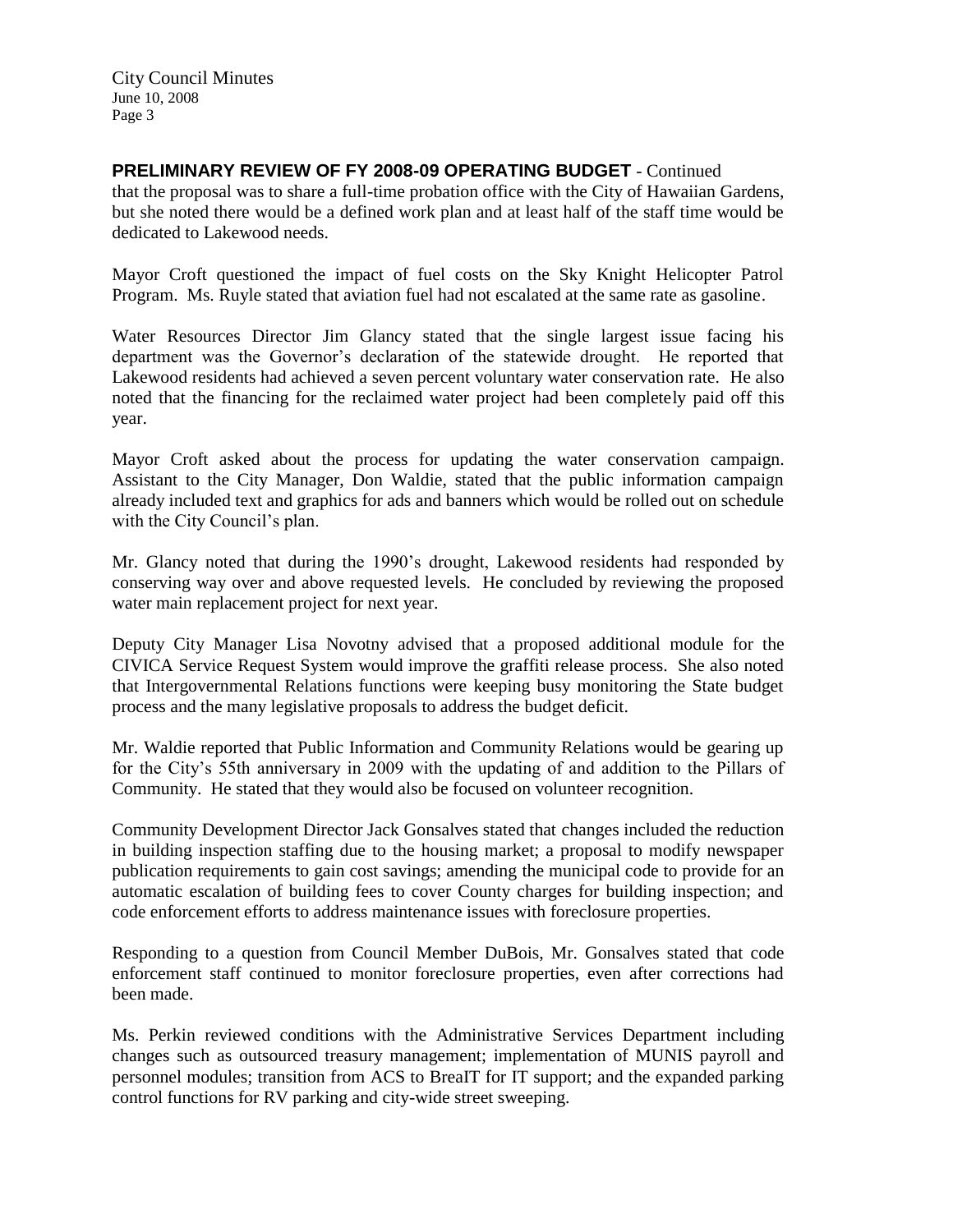# **PRELIMINARY REVIEW OF FY 2008-09 OPERATING BUDGET** - Continued

that the proposal was to share a full-time probation office with the City of Hawaiian Gardens, but she noted there would be a defined work plan and at least half of the staff time would be dedicated to Lakewood needs.

Mayor Croft questioned the impact of fuel costs on the Sky Knight Helicopter Patrol Program. Ms. Ruyle stated that aviation fuel had not escalated at the same rate as gasoline.

Water Resources Director Jim Glancy stated that the single largest issue facing his department was the Governor's declaration of the statewide drought. He reported that Lakewood residents had achieved a seven percent voluntary water conservation rate. He also noted that the financing for the reclaimed water project had been completely paid off this year.

Mayor Croft asked about the process for updating the water conservation campaign. Assistant to the City Manager, Don Waldie, stated that the public information campaign already included text and graphics for ads and banners which would be rolled out on schedule with the City Council's plan.

Mr. Glancy noted that during the 1990's drought, Lakewood residents had responded by conserving way over and above requested levels. He concluded by reviewing the proposed water main replacement project for next year.

Deputy City Manager Lisa Novotny advised that a proposed additional module for the CIVICA Service Request System would improve the graffiti release process. She also noted that Intergovernmental Relations functions were keeping busy monitoring the State budget process and the many legislative proposals to address the budget deficit.

Mr. Waldie reported that Public Information and Community Relations would be gearing up for the City's 55th anniversary in 2009 with the updating of and addition to the Pillars of Community. He stated that they would also be focused on volunteer recognition.

Community Development Director Jack Gonsalves stated that changes included the reduction in building inspection staffing due to the housing market; a proposal to modify newspaper publication requirements to gain cost savings; amending the municipal code to provide for an automatic escalation of building fees to cover County charges for building inspection; and code enforcement efforts to address maintenance issues with foreclosure properties.

Responding to a question from Council Member DuBois, Mr. Gonsalves stated that code enforcement staff continued to monitor foreclosure properties, even after corrections had been made.

Ms. Perkin reviewed conditions with the Administrative Services Department including changes such as outsourced treasury management; implementation of MUNIS payroll and personnel modules; transition from ACS to BreaIT for IT support; and the expanded parking control functions for RV parking and city-wide street sweeping.